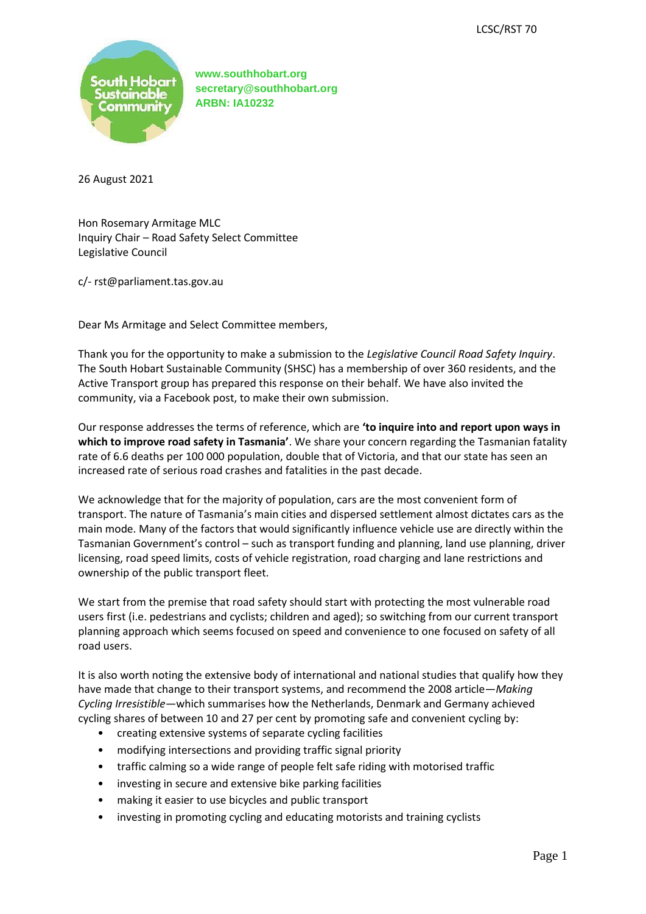

26 August 2021

Hon Rosemary Armitage MLC Inquiry Chair – Road Safety Select Committee Legislative Council

c/- rst@parliament.tas.gov.au

Dear Ms Armitage and Select Committee members,

Thank you for the opportunity to make a submission to the *Legislative Council Road Safety Inquiry*. The South Hobart Sustainable Community (SHSC) has a membership of over 360 residents, and the Active Transport group has prepared this response on their behalf. We have also invited the community, via a Facebook post, to make their own submission.

Our response addresses the terms of reference, which are **'to inquire into and report upon ways in which to improve road safety in Tasmania'**. We share your concern regarding the Tasmanian fatality rate of 6.6 deaths per 100 000 population, double that of Victoria, and that our state has seen an increased rate of serious road crashes and fatalities in the past decade.

We acknowledge that for the majority of population, cars are the most convenient form of transport. The nature of Tasmania's main cities and dispersed settlement almost dictates cars as the main mode. Many of the factors that would significantly influence vehicle use are directly within the Tasmanian Government's control – such as transport funding and planning, land use planning, driver licensing, road speed limits, costs of vehicle registration, road charging and lane restrictions and ownership of the public transport fleet.

We start from the premise that road safety should start with protecting the most vulnerable road users first (i.e. pedestrians and cyclists; children and aged); so switching from our current transport planning approach which seems focused on speed and convenience to one focused on safety of all road users.

It is also worth noting the extensive body of international and national studies that qualify how they have made that change to their transport systems, and recommend the 2008 article—*Making Cycling Irresistible*—which summarises how the Netherlands, Denmark and Germany achieved cycling shares of between 10 and 27 per cent by promoting safe and convenient cycling by:

- creating extensive systems of separate cycling facilities
- modifying intersections and providing traffic signal priority
- traffic calming so a wide range of people felt safe riding with motorised traffic
- investing in secure and extensive bike parking facilities
- making it easier to use bicycles and public transport
- investing in promoting cycling and educating motorists and training cyclists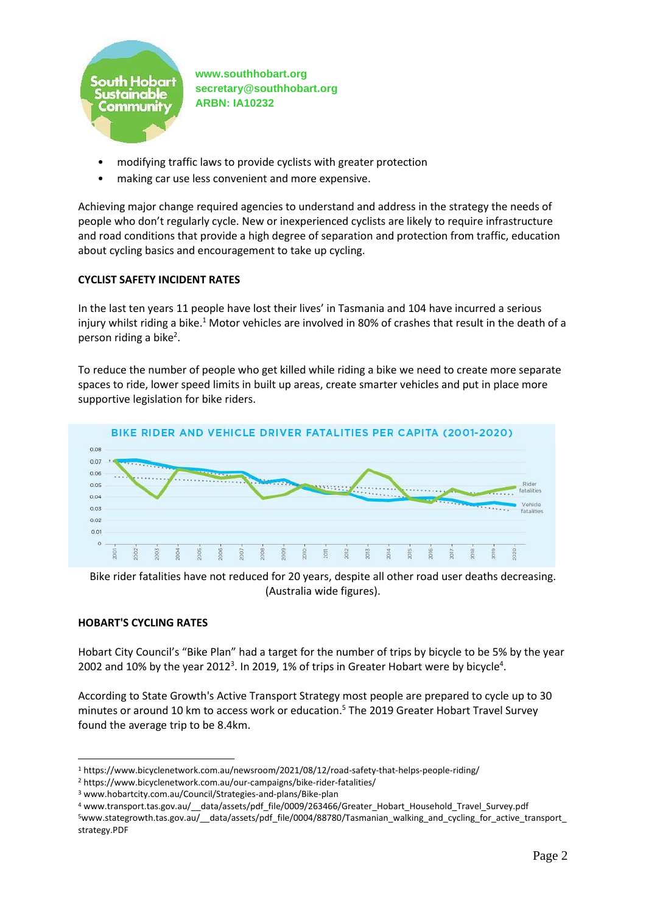

- modifying traffic laws to provide cyclists with greater protection
- making car use less convenient and more expensive.

Achieving major change required agencies to understand and address in the strategy the needs of people who don't regularly cycle. New or inexperienced cyclists are likely to require infrastructure and road conditions that provide a high degree of separation and protection from traffic, education about cycling basics and encouragement to take up cycling.

### **CYCLIST SAFETY INCIDENT RATES**

In the last ten years 11 people have lost their lives' in Tasmania and 104 have incurred a serious injury whilst riding a bike.<sup>1</sup> Motor vehicles are involved in 80% of crashes that result in the death of a person riding a bike<sup>2</sup>.

To reduce the number of people who get killed while riding a bike we need to create more separate spaces to ride, lower speed limits in built up areas, create smarter vehicles and put in place more supportive legislation for bike riders.



Bike rider fatalities have not reduced for 20 years, despite all other road user deaths decreasing. (Australia wide figures).

### **HOBART'S CYCLING RATES**

Hobart City Council's "Bike Plan" had a target for the number of trips by bicycle to be 5% by the year 2002 and 10% by the year 2012<sup>3</sup>. In 2019, 1% of trips in Greater Hobart were by bicycle<sup>4</sup>.

According to State Growth's Active Transport Strategy most people are prepared to cycle up to 30 minutes or around 10 km to access work or education. <sup>5</sup> The 2019 Greater Hobart Travel Survey found the average trip to be 8.4km.

<sup>1</sup> https://www.bicyclenetwork.com.au/newsroom/2021/08/12/road-safety-that-helps-people-riding/

<sup>2</sup> https://www.bicyclenetwork.com.au/our-campaigns/bike-rider-fatalities/

<sup>3</sup> www.hobartcity.com.au/Council/Strategies-and-plans/Bike-plan

<sup>4</sup> www.transport.tas.gov.au/\_\_data/assets/pdf\_file/0009/263466/Greater\_Hobart\_Household\_Travel\_Survey.pdf 5www.stategrowth.tas.gov.au/ data/assets/pdf file/0004/88780/Tasmanian walking and cycling for active transport strategy.PDF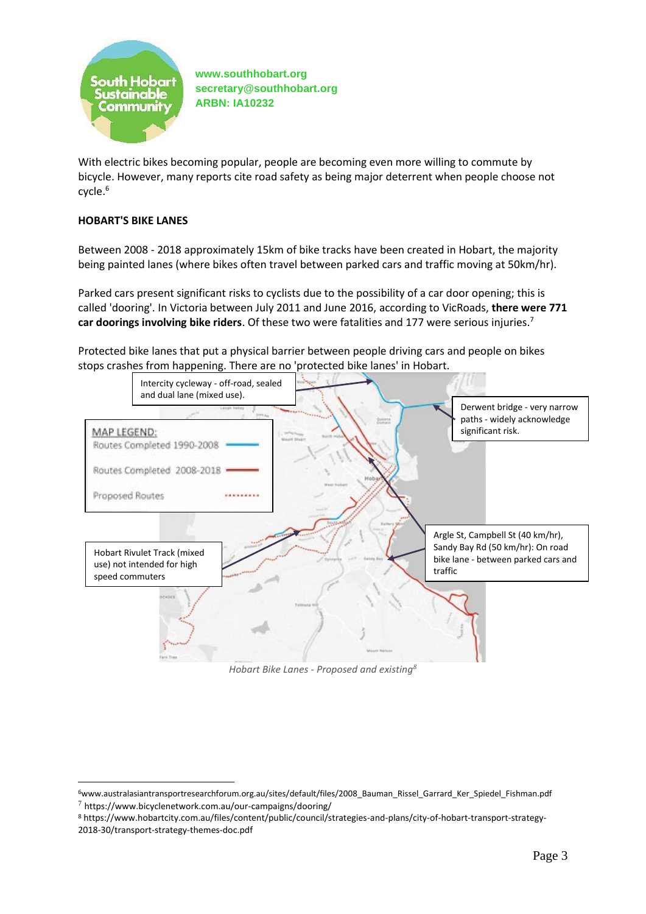

With electric bikes becoming popular, people are becoming even more willing to commute by bicycle. However, many reports cite road safety as being major deterrent when people choose not cycle. 6

## **HOBART'S BIKE LANES**

Between 2008 - 2018 approximately 15km of bike tracks have been created in Hobart, the majority being painted lanes (where bikes often travel between parked cars and traffic moving at 50km/hr).

Parked cars present significant risks to cyclists due to the possibility of a car door opening; this is called 'dooring'. In Victoria between July 2011 and June 2016, according to VicRoads, **there were 771 car doorings involving bike riders**. Of these two were fatalities and 177 were serious injuries.<sup>7</sup>

Protected bike lanes that put a physical barrier between people driving cars and people on bikes stops crashes from happening. There are no 'protected bike lanes' in Hobart.



*Hobart Bike Lanes - Proposed and existing<sup>8</sup>*

<sup>6</sup>www.australasiantransportresearchforum.org.au/sites/default/files/2008\_Bauman\_Rissel\_Garrard\_Ker\_Spiedel\_Fishman.pdf  $7$  https://www.bicyclenetwork.com.au/our-campaigns/dooring/

<sup>8</sup> https://www.hobartcity.com.au/files/content/public/council/strategies-and-plans/city-of-hobart-transport-strategy-2018-30/transport-strategy-themes-doc.pdf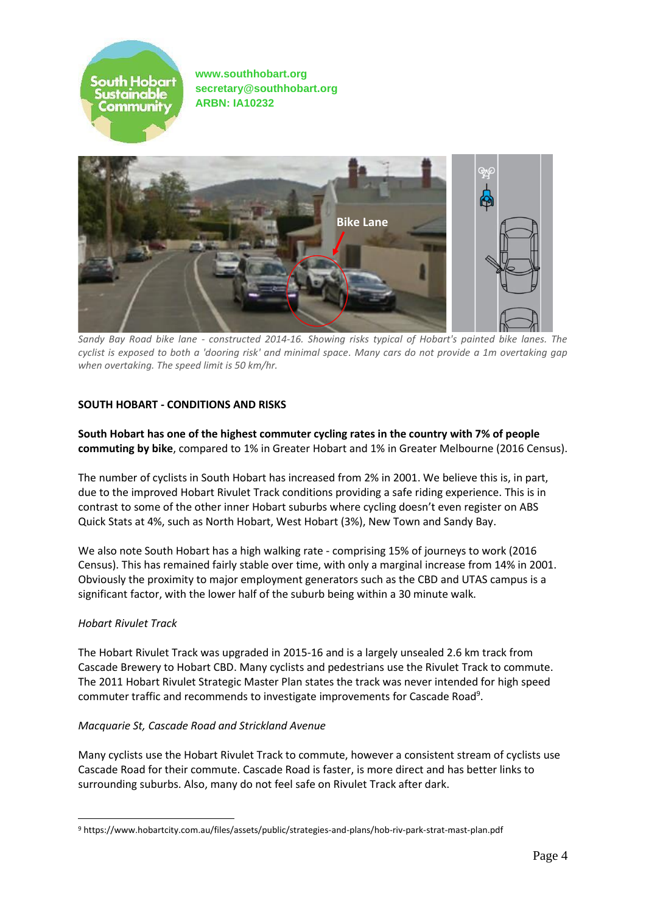



*Sandy Bay Road bike lane - constructed 2014-16. Showing risks typical of Hobart's painted bike lanes. The cyclist is exposed to both a 'dooring risk' and minimal space. Many cars do not provide a 1m overtaking gap when overtaking. The speed limit is 50 km/hr.*

### **SOUTH HOBART - CONDITIONS AND RISKS**

**South Hobart has one of the highest commuter cycling rates in the country with 7% of people commuting by bike**, compared to 1% in Greater Hobart and 1% in Greater Melbourne (2016 Census).

The number of cyclists in South Hobart has increased from 2% in 2001. We believe this is, in part, due to the improved Hobart Rivulet Track conditions providing a safe riding experience. This is in contrast to some of the other inner Hobart suburbs where cycling doesn't even register on ABS Quick Stats at 4%, such as North Hobart, West Hobart (3%), New Town and Sandy Bay.

We also note South Hobart has a high walking rate - comprising 15% of journeys to work (2016 Census). This has remained fairly stable over time, with only a marginal increase from 14% in 2001. Obviously the proximity to major employment generators such as the CBD and UTAS campus is a significant factor, with the lower half of the suburb being within a 30 minute walk.

### *Hobart Rivulet Track*

The Hobart Rivulet Track was upgraded in 2015-16 and is a largely unsealed 2.6 km track from Cascade Brewery to Hobart CBD. Many cyclists and pedestrians use the Rivulet Track to commute. The 2011 Hobart Rivulet Strategic Master Plan states the track was never intended for high speed commuter traffic and recommends to investigate improvements for Cascade Road<sup>9</sup>.

### *Macquarie St, Cascade Road and Strickland Avenue*

Many cyclists use the Hobart Rivulet Track to commute, however a consistent stream of cyclists use Cascade Road for their commute. Cascade Road is faster, is more direct and has better links to surrounding suburbs. Also, many do not feel safe on Rivulet Track after dark.

<sup>9</sup> https://www.hobartcity.com.au/files/assets/public/strategies-and-plans/hob-riv-park-strat-mast-plan.pdf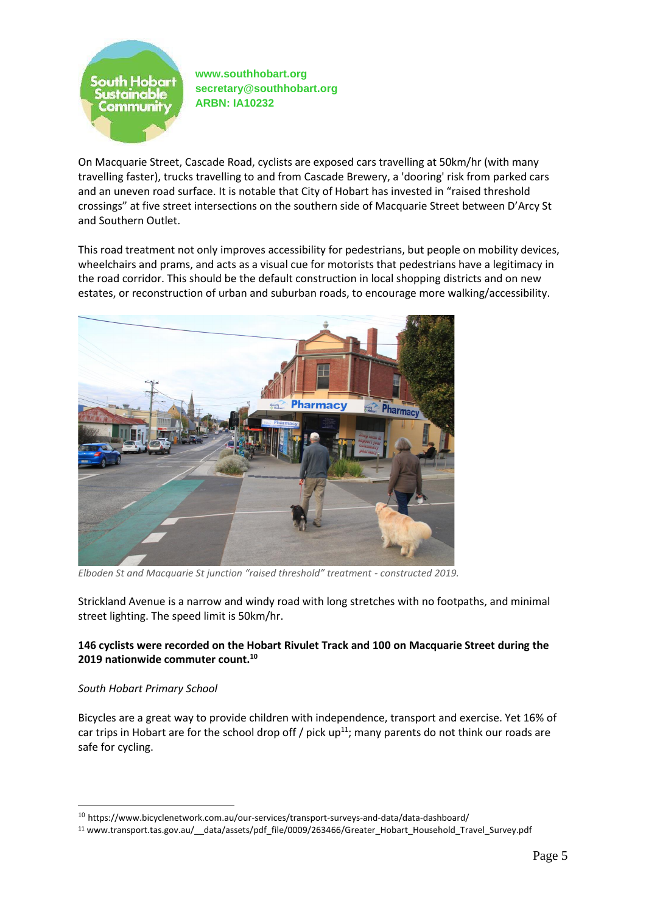

On Macquarie Street, Cascade Road, cyclists are exposed cars travelling at 50km/hr (with many travelling faster), trucks travelling to and from Cascade Brewery, a 'dooring' risk from parked cars and an uneven road surface. It is notable that City of Hobart has invested in "raised threshold crossings" at five street intersections on the southern side of Macquarie Street between D'Arcy St and Southern Outlet.

This road treatment not only improves accessibility for pedestrians, but people on mobility devices, wheelchairs and prams, and acts as a visual cue for motorists that pedestrians have a legitimacy in the road corridor. This should be the default construction in local shopping districts and on new estates, or reconstruction of urban and suburban roads, to encourage more walking/accessibility.



Elboden St and Macquarie St junction "raised threshold" treatment - constructed 2019.

Strickland Avenue is a narrow and windy road with long stretches with no footpaths, and minimal street lighting. The speed limit is 50km/hr.

# **146 cyclists were recorded on the Hobart Rivulet Track and 100 on Macquarie Street during the 2019 nationwide commuter count.<sup>10</sup>**

# *South Hobart Primary School*

Bicycles are a great way to provide children with independence, transport and exercise. Yet 16% of car trips in Hobart are for the school drop off / pick  $up^{11}$ ; many parents do not think our roads are safe for cycling.

<sup>&</sup>lt;sup>10</sup> https://www.bicyclenetwork.com.au/our-services/transport-surveys-and-data/data-dashboard/

<sup>&</sup>lt;sup>11</sup> www.transport.tas.gov.au/ data/assets/pdf file/0009/263466/Greater\_Hobart\_Household\_Travel\_Survey.pdf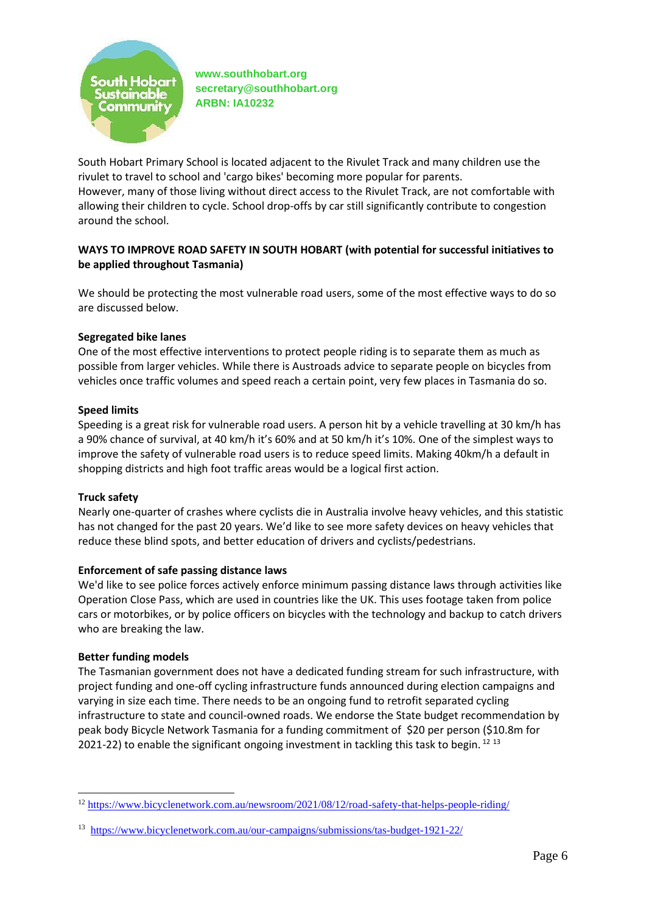

South Hobart Primary School is located adjacent to the Rivulet Track and many children use the rivulet to travel to school and 'cargo bikes' becoming more popular for parents. However, many of those living without direct access to the Rivulet Track, are not comfortable with allowing their children to cycle. School drop-offs by car still significantly contribute to congestion around the school.

# **WAYS TO IMPROVE ROAD SAFETY IN SOUTH HOBART (with potential for successful initiatives to be applied throughout Tasmania)**

We should be protecting the most vulnerable road users, some of the most effective ways to do so are discussed below.

### **Segregated bike lanes**

One of the most effective interventions to protect people riding is to separate them as much as possible from larger vehicles. While there is Austroads advice to separate people on bicycles from vehicles once traffic volumes and speed reach a certain point, very few places in Tasmania do so.

### **Speed limits**

Speeding is a great risk for vulnerable road users. A person hit by a vehicle travelling at 30 km/h has a 90% chance of survival, at 40 km/h it's 60% and at 50 km/h it's 10%. One of the simplest ways to improve the safety of vulnerable road users is to reduce speed limits. Making 40km/h a default in shopping districts and high foot traffic areas would be a logical first action.

### **Truck safety**

Nearly one-quarter of crashes where cyclists die in Australia involve heavy vehicles, and this statistic has not changed for the past 20 years. We'd like to see more safety devices on heavy vehicles that reduce these blind spots, and better education of drivers and cyclists/pedestrians.

### **Enforcement of safe passing distance laws**

We'd like to see police forces actively enforce minimum passing distance laws through activities like Operation Close Pass, which are used in countries like the UK. This uses footage taken from police cars or motorbikes, or by police officers on bicycles with the technology and backup to catch drivers who are breaking the law.

### **Better funding models**

The Tasmanian government does not have a dedicated funding stream for such infrastructure, with project funding and one-off cycling infrastructure funds announced during election campaigns and varying in size each time. There needs to be an ongoing fund to retrofit separated cycling infrastructure to state and council-owned roads. We endorse the State budget recommendation by peak body Bicycle Network Tasmania for a funding commitment of \$20 per person (\$10.8m for 2021-22) to enable the significant ongoing investment in tackling this task to begin.<sup>12 13</sup>

<sup>12</sup> <https://www.bicyclenetwork.com.au/newsroom/2021/08/12/road-safety-that-helps-people-riding/>

<sup>&</sup>lt;sup>13</sup> <https://www.bicyclenetwork.com.au/our-campaigns/submissions/tas-budget-1921-22/>